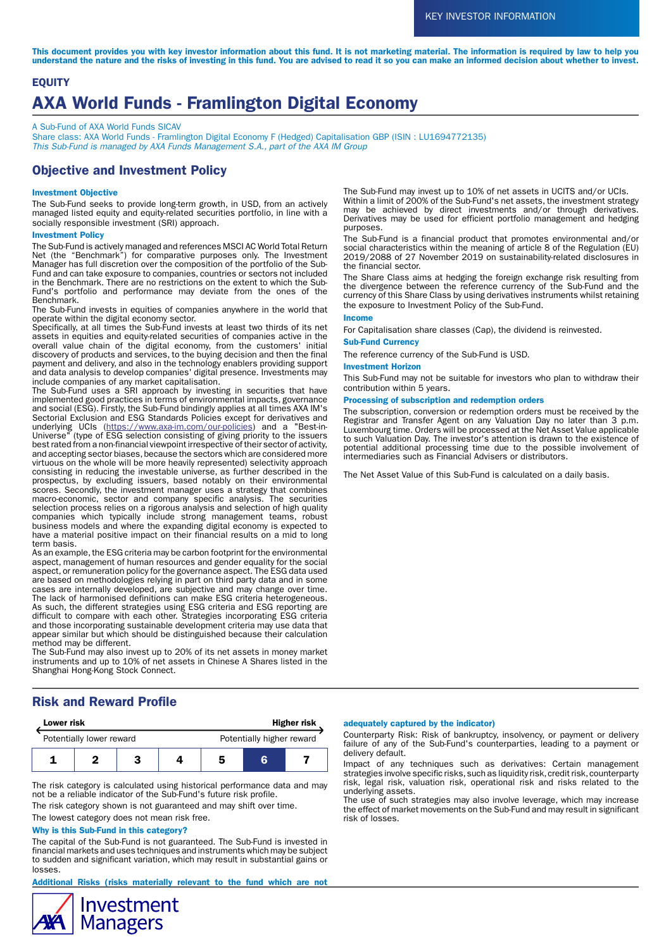This document provides you with key investor information about this fund. It is not marketing material. The information is required by law to help you understand the nature and the risks of investing in this fund. You are advised to read it so you can make an informed decision about whether to invest.

# **EQUITY** AXA World Funds - Framlington Digital Economy

A Sub-Fund of AXA World Funds SICAV

Share class: AXA World Funds - Framlington Digital Economy F (Hedged) Capitalisation GBP (ISIN : LU1694772135) This Sub-Fund is managed by AXA Funds Management S.A., part of the AXA IM Group

# Objective and Investment Policy

## Investment Objective

The Sub-Fund seeks to provide long-term growth, in USD, from an actively managed listed equity and equity-related securities portfolio, in line with a socially responsible investment (SRI) approach.

#### Investment Policy

The Sub-Fund is actively managed and references MSCI AC World Total Return Net (the "Benchmark") for comparative purposes only. The Investment Manager has full discretion over the composition of the portfolio of the Sub-Fund and can take exposure to companies, countries or sectors not included in the Benchmark. There are no restrictions on the extent to which the Sub-Fund's portfolio and performance may deviate from the ones of the Benchmark.

The Sub-Fund invests in equities of companies anywhere in the world that operate within the digital economy sector.

Specifically, at all times the Sub-Fund invests at least two thirds of its net assets in equities and equity-related securities of companies active in the overall value chain of the digital economy, from the customers' initial discovery of products and services, to the buying decision and then the final payment and delivery, and also in the technology enablers providing support and data analysis to develop companies' digital presence. Investments may include companies of any market capitalisation.

The Sub-Fund uses a SRI approach by investing in securities that have implemented good practices in terms of environmental impacts, governance and social (ESG). Firstly, the Sub-Fund bindingly applies at all times AXA IM's Sectorial Exclusion and ESG Standards Policies except for derivatives and underlying UCIs (<u>https://www.axa-im.com/our-policies</u>) and a "Best-in-Universe" (type of ESG selection consisting of giving priority to the issuers best rated from a non-financial viewpoint irrespective of their sector of activity, and accepting sector biases, because the sectors which are considered more virtuous on the whole will be more heavily represented) selectivity approach consisting in reducing the investable universe, as further described in the prospectus, by excluding issuers, based notably on their environmental scores. Secondly, the investment manager uses a strategy that combines macro-economic, sector and company specific analysis. The securities selection process relies on a rigorous analysis and selection of high quality companies which typically include strong management teams, robust business models and where the expanding digital economy is expected to have a material positive impact on their financial results on a mid to long term basis.

As an example, the ESG criteria may be carbon footprint for the environmental aspect, management of human resources and gender equality for the social aspect, or remuneration policy for the governance aspect. The ESG data used are based on methodologies relying in part on third party data and in some cases are internally developed, are subjective and may change over time. The lack of harmonised definitions can make ESG criteria heterogeneous. As such, the different strategies using ESG criteria and ESG reporting are difficult to compare with each other. Strategies incorporating ESG criteria and those incorporating sustainable development criteria may use data that appear similar but which should be distinguished because their calculation method may be different.

The Sub-Fund may also invest up to 20% of its net assets in money market instruments and up to 10% of net assets in Chinese A Shares listed in the Shanghai Hong-Kong Stock Connect.

# Risk and Reward Profile

| <b>Lower risk</b>        |  |  | <b>Higher risk</b> |                           |   |  |
|--------------------------|--|--|--------------------|---------------------------|---|--|
| Potentially lower reward |  |  |                    | Potentially higher reward |   |  |
|                          |  |  |                    |                           | G |  |

The risk category is calculated using historical performance data and may not be a reliable indicator of the Sub-Fund's future risk profile.

The risk category shown is not guaranteed and may shift over time.

The lowest category does not mean risk free.

## Why is this Sub-Fund in this category?

The capital of the Sub-Fund is not guaranteed. The Sub-Fund is invested in financial markets and uses techniques and instruments which may be subject to sudden and significant variation, which may result in substantial gains or losses.

Additional Risks (risks materially relevant to the fund which are not



The Sub-Fund may invest up to 10% of net assets in UCITS and/or UCIs. Within a limit of 200% of the Sub-Fund's net assets, the investment strategy may be achieved by direct investments and/or through derivatives. Derivatives may be used for efficient portfolio management and hedging purposes.

The Sub-Fund is a financial product that promotes environmental and/or social characteristics within the meaning of article 8 of the Regulation (EU) 2019/2088 of 27 November 2019 on sustainability-related disclosures in the financial sector.

The Share Class aims at hedging the foreign exchange risk resulting from the divergence between the reference currency of the Sub-Fund and the currency of this Share Class by using derivatives instruments whilst retaining the exposure to Investment Policy of the Sub-Fund.

## Income

For Capitalisation share classes (Cap), the dividend is reinvested.

## Sub-Fund Currency

The reference currency of the Sub-Fund is USD.

#### Investment Horizon

This Sub-Fund may not be suitable for investors who plan to withdraw their contribution within 5 years.

## Processing of subscription and redemption orders

The subscription, conversion or redemption orders must be received by the Registrar and Transfer Agent on any Valuation Day no later than 3 p.m. Luxembourg time. Orders will be processed at the Net Asset Value applicable to such Valuation Day. The investor's attention is drawn to the existence of potential additional processing time due to the possible involvement of intermediaries such as Financial Advisers or distributors.

The Net Asset Value of this Sub-Fund is calculated on a daily basis.

## adequately captured by the indicator)

Counterparty Risk: Risk of bankruptcy, insolvency, or payment or delivery failure of any of the Sub-Fund's counterparties, leading to a payment or delivery default.

Impact of any techniques such as derivatives: Certain management strategies involve specific risks, such as liquidity risk, credit risk, counterparty risk, legal risk, valuation risk, operational risk and risks related to the underlying assets.

The use of such strategies may also involve leverage, which may increase the effect of market movements on the Sub-Fund and may result in significant risk of losses.